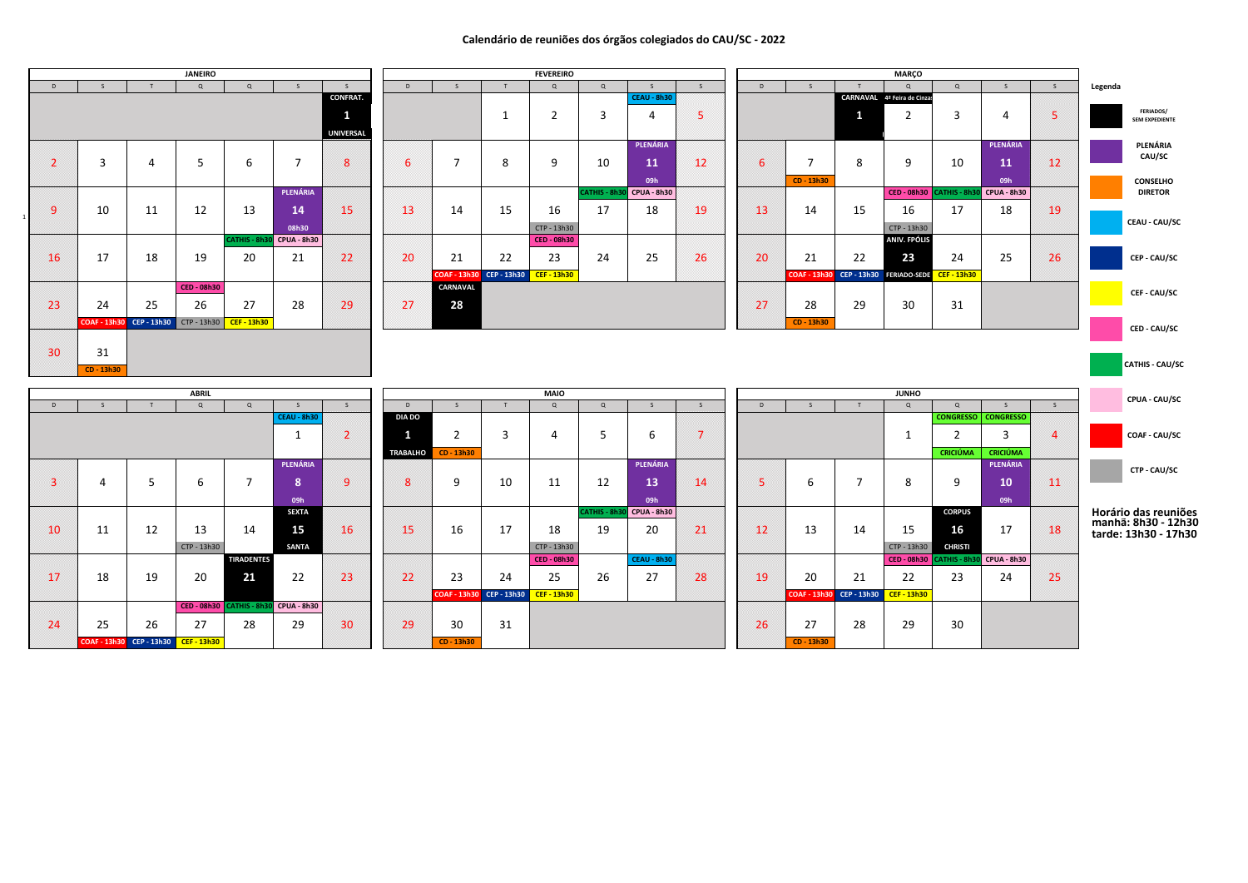## **Calendário de reuniões dos órgãos colegiados do CAU/SC - 2022**

## **Horário das reuniões manhã: 8h30 - 12h30 tarde: 13h30 - 17h30**

|              |                         |                     |                | <b>JANEIRO</b>     |                    |                    |                  |                 |                |
|--------------|-------------------------|---------------------|----------------|--------------------|--------------------|--------------------|------------------|-----------------|----------------|
|              | D                       | S                   | T              | $\mathsf Q$        | $\mathsf Q$        | S                  | $\mathsf{S}$     | D               | S              |
|              |                         |                     |                |                    |                    |                    | <b>CONFRAT.</b>  |                 |                |
|              |                         |                     |                |                    |                    |                    | $\mathbf{1}$     |                 |                |
|              |                         |                     |                |                    |                    |                    | <b>UNIVERSAL</b> |                 |                |
|              |                         |                     |                |                    |                    |                    |                  |                 |                |
|              | $\overline{\mathbf{2}}$ | 3                   | $\overline{4}$ | 5                  | 6                  | $\overline{7}$     | 8                | $6\phantom{1}6$ | $\overline{7}$ |
|              |                         |                     |                |                    |                    |                    |                  |                 |                |
|              |                         |                     |                |                    |                    | PLENÁRIA           |                  |                 |                |
|              |                         |                     |                |                    |                    |                    |                  |                 |                |
| $\mathbf{1}$ | 9                       | 10                  | 11             | 12                 | 13                 | 14                 | 15               | 13              | 14             |
|              |                         |                     |                |                    |                    | 08h30              |                  |                 |                |
|              |                         |                     |                |                    | CATHIS - 8h30      | <b>CPUA - 8h30</b> |                  |                 |                |
|              | 16                      | 17                  | 18             | 19                 | 20                 | 21                 | 22               | 20              | 21             |
|              |                         |                     |                |                    |                    |                    |                  |                 | $COAF - 1$     |
|              |                         |                     |                | <b>CED - 08h30</b> |                    |                    |                  |                 | <b>CARNA</b>   |
|              | 23                      | 24                  | 25             | 26                 | 27                 | 28                 | 29               | 27              | 28             |
|              |                         |                     |                |                    |                    |                    |                  |                 |                |
|              |                         | <b>COAF - 13h30</b> | CEP - 13h30    | CTP - 13h30        | <b>CEF - 13h30</b> |                    |                  |                 |                |
|              |                         |                     |                |                    |                    |                    |                  |                 |                |
|              | 30                      | 31                  |                |                    |                    |                    |                  |                 |                |
|              |                         | CD - 13h30          |                |                    |                    |                    |                  |                 |                |

|                |              |                                          | <b>JANEIRO</b> |                     |                    |                  |                 |                                      |                 | <b>FEVEREIRO</b>   |                |                    |                         |              |                |              | <b>MARÇO</b>                          |                          |                  |                |                                           |
|----------------|--------------|------------------------------------------|----------------|---------------------|--------------------|------------------|-----------------|--------------------------------------|-----------------|--------------------|----------------|--------------------|-------------------------|--------------|----------------|--------------|---------------------------------------|--------------------------|------------------|----------------|-------------------------------------------|
| D              | <sub>S</sub> |                                          | Q              | Q                   | S.                 |                  | D               |                                      |                 | Q                  | Q              | $\varsigma$        |                         | D            | <sub>S</sub>   |              | Q                                     | Q                        |                  | S              | Legenda                                   |
|                |              |                                          |                |                     |                    | <b>CONFRAT.</b>  |                 |                                      |                 |                    |                | <b>CEAU - 8h30</b> |                         |              |                |              | CARNAVAL 4ª Feira de Cinzas           |                          |                  |                |                                           |
|                |              |                                          |                |                     |                    | 1                |                 |                                      | $\mathbf 1$     | $\overline{2}$     | $\overline{3}$ | $\overline{4}$     | 5                       |              |                | $\mathbf{1}$ | $\overline{2}$                        | 3                        | 4                | $\overline{5}$ | <b>FERIADOS/</b><br><b>SEM EXPEDIENTE</b> |
|                |              |                                          |                |                     |                    | <b>UNIVERSAL</b> |                 |                                      |                 |                    |                |                    |                         |              |                |              |                                       |                          |                  |                |                                           |
|                |              |                                          |                |                     |                    |                  |                 |                                      |                 |                    |                | PLENÁRIA           |                         |              |                |              |                                       |                          | PLENÁRIA         |                | PLENÁRIA                                  |
| $\overline{2}$ | 3            | $\overline{4}$                           |                | 6                   | $\overline{7}$     | 8                | $6\overline{6}$ | $\overline{7}$                       | 8               | 9                  | 10             |                    | 12                      |              | $\overline{7}$ | 8            | 9                                     | 10                       |                  | 12             | CAU/SC                                    |
|                |              |                                          | 5              |                     |                    |                  |                 |                                      |                 |                    |                | 11                 |                         | 6            |                |              |                                       |                          | 11               |                |                                           |
|                |              |                                          |                |                     |                    |                  |                 |                                      |                 |                    |                | 09h                |                         |              | CD - 13h30     |              |                                       |                          | 09h              |                | <b>CONSELHO</b>                           |
|                |              |                                          |                |                     | PLENÁRIA           |                  |                 |                                      |                 |                    | CATHIS - 8h30  | <b>CPUA - 8h30</b> |                         |              |                |              |                                       | CED - 08h30 CATHIS - 8h3 | CPUA - 8h30      |                | <b>DIRETOR</b>                            |
| $\overline{9}$ | 10           | 11                                       | 12             | 13                  | 14                 | 15               | 13              | 14                                   | 15              | 16                 | 17             | 18                 | 19                      | 13           | 14             | 15           | 16                                    | 17                       | 18               | 19             |                                           |
|                |              |                                          |                |                     | 08h30              |                  |                 |                                      |                 | CTP - 13h30        |                |                    |                         |              |                |              | CTP - 13h30                           |                          |                  |                | <b>CEAU - CAU/SC</b>                      |
|                |              |                                          |                | <b>CATHIS - 8h3</b> | CPUA - 8h30        |                  |                 |                                      |                 | <b>CED - 08h30</b> |                |                    |                         |              |                |              | <b>ANIV. FPÓLIS</b>                   |                          |                  |                |                                           |
| 16             | 17           | 18                                       | 19             | 20                  | 21                 | 22               | 20              | 21                                   | 22              | 23                 | 24             | 25                 | 26                      | 20           | 21             | 22           | 23                                    | 24                       | 25               | 26             | <b>CEP - CAU/SC</b>                       |
|                |              |                                          |                |                     |                    |                  |                 | COAF - 13h30 CEP - 13h30 CEF - 13h30 |                 |                    |                |                    |                         |              |                |              | COAF - 13h30 CEP - 13h30 FERIADO-SEDE | <b>CEF-13h30</b>         |                  |                |                                           |
|                |              |                                          | CED - 08h30    |                     |                    |                  |                 | <b>CARNAVAL</b>                      |                 |                    |                |                    |                         |              |                |              |                                       |                          |                  |                |                                           |
|                |              |                                          |                |                     |                    |                  |                 |                                      |                 |                    |                |                    |                         |              |                |              |                                       |                          |                  |                | CEF - CAU/SC                              |
| 23             | 24           | 25                                       | 26             | 27                  | 28                 | 29               | 27              | 28                                   |                 |                    |                |                    |                         | 27           | 28             | 29           | 30                                    | 31                       |                  |                |                                           |
|                |              | COAF-13h30 CEP-13h30 CTP-13h30 CEF-13h30 |                |                     |                    |                  |                 |                                      |                 |                    |                |                    |                         |              | CD - 13h30     |              |                                       |                          |                  |                | <b>CED - CAU/SC</b>                       |
|                |              |                                          |                |                     |                    |                  |                 |                                      |                 |                    |                |                    |                         |              |                |              |                                       |                          |                  |                |                                           |
| 30             | 31           |                                          |                |                     |                    |                  |                 |                                      |                 |                    |                |                    |                         |              |                |              |                                       |                          |                  |                |                                           |
|                | CD - 13h30   |                                          |                |                     |                    |                  |                 |                                      |                 |                    |                |                    |                         |              |                |              |                                       |                          |                  |                | CATHIS - CAU/SC                           |
|                |              |                                          |                |                     |                    |                  |                 |                                      |                 |                    |                |                    |                         |              |                |              |                                       |                          |                  |                |                                           |
|                |              |                                          | <b>ABRIL</b>   |                     |                    |                  |                 |                                      |                 | <b>MAIO</b>        |                |                    |                         |              |                |              | <b>JUNHO</b>                          |                          |                  |                | CPUA - CAU/SC                             |
| $\mathsf{D}$   | $\mathsf{S}$ |                                          | Q              | Q                   | $\varsigma$        |                  | D               |                                      |                 | Q                  | Q              | $\varsigma$        | $\mathsf{S}$            | $\mathsf{D}$ |                |              | Q                                     | $\Omega$                 |                  | S              |                                           |
|                |              |                                          |                |                     | <b>CEAU - 8h30</b> |                  | <b>DIA DO</b>   |                                      |                 |                    |                |                    |                         |              |                |              |                                       | <b>CONGRESSO</b>         | <b>CONGRESSO</b> |                |                                           |
|                |              |                                          |                |                     | 1                  | $\overline{2}$   |                 | $\overline{2}$                       | 3               | 4                  | 5              | 6                  | $\overline{\mathbf{z}}$ |              |                |              | -1                                    | 2                        | 3                | $\Delta$       | <b>COAF - CAU/SC</b>                      |
|                |              |                                          |                |                     |                    |                  | <b>TRABALHO</b> | CD - 13h30                           |                 |                    |                |                    |                         |              |                |              |                                       | <b>CRICIÚMA</b>          | <b>CRICIÚMA</b>  |                |                                           |
|                |              |                                          |                |                     | PLENÁRIA           |                  |                 |                                      |                 |                    |                | PLENÁRIA           |                         |              |                |              |                                       |                          | PLENÁRIA         |                | CTP - CAU/SC                              |
| $\sim$         |              |                                          | c              | ⇁                   | $\bullet$          | $\sim$           | $\bullet$       | $\Omega$                             | 10 <sup>1</sup> | 11                 | 12             | 12 <sub>1</sub>    | $\overline{A}$          | C            | $\epsilon$     | $\mathbf{z}$ | $\circ$                               | $\sim$                   | 10 <sup>1</sup>  | $\sim$         |                                           |

|                         |                     |                    | <b>ABRIL</b>       |                   |                    |                         |                |
|-------------------------|---------------------|--------------------|--------------------|-------------------|--------------------|-------------------------|----------------|
| D                       | $\mathsf{S}$        | $\mathsf T$        | $\Omega$           | $\mathsf Q$       | $\mathsf{S}$       | $\mathsf{S}$            | D              |
|                         |                     |                    |                    |                   | <b>CEAU - 8h30</b> |                         | <b>DIAD</b>    |
|                         |                     |                    |                    |                   | $\mathbf 1$        | $\overline{\mathbf{2}}$ | 1              |
|                         |                     |                    |                    |                   |                    |                         | <b>TRABAI</b>  |
|                         |                     |                    |                    |                   | PLENÁRIA           |                         |                |
| $\overline{\mathbf{3}}$ | $\overline{4}$      | 5                  | 6                  | $\overline{7}$    | 8                  | 9                       | $8\phantom{1}$ |
|                         |                     |                    |                    |                   | 09h                |                         |                |
|                         |                     |                    |                    |                   | <b>SEXTA</b>       |                         |                |
| 10                      | 11                  | 12                 | 13                 | 14                | 15                 | 16                      | 15             |
|                         |                     |                    | CTP - 13h30        |                   | <b>SANTA</b>       |                         |                |
|                         |                     |                    |                    | <b>TIRADENTES</b> |                    |                         |                |
| 17                      | 18                  | 19                 | 20                 | 21                | 22                 | 23                      | 22             |
|                         |                     |                    |                    |                   |                    |                         |                |
|                         |                     |                    | <b>CED - 08h30</b> | CATHIS - 8h30     | <b>CPUA - 8h30</b> |                         |                |
| 24                      | 25                  | 26                 | 27                 | 28                | 29                 | 30                      | 29             |
|                         | <b>COAF - 13h30</b> | <b>CEP - 13h30</b> | <b>CEF - 13h30</b> |                   |                    |                         |                |

|    |                     | ABRIL                     |                   |                    |                 |                 |                          |    | MAIO               |                      |                    |                |    |            |                          | <b>JUNHO</b>              |                  |                  |                |
|----|---------------------|---------------------------|-------------------|--------------------|-----------------|-----------------|--------------------------|----|--------------------|----------------------|--------------------|----------------|----|------------|--------------------------|---------------------------|------------------|------------------|----------------|
|    |                     | $\Omega$                  | $\Omega$          |                    | <sub>S</sub>    | D               |                          |    | Q                  | $\Omega$             |                    |                | D  |            |                          | $\Omega$                  | $\Omega$         |                  |                |
|    |                     |                           |                   | <b>CEAU - 8h30</b> |                 | <b>DIA DO</b>   |                          |    |                    |                      |                    |                |    |            |                          |                           | <b>CONGRESSO</b> | <b>CONGRESSO</b> |                |
|    |                     |                           |                   | $\mathbf 1$        |                 |                 | ว                        | 3  | 4                  |                      | 6                  | $\overline{ }$ |    |            |                          |                           |                  | 3                | $\overline{4}$ |
|    |                     |                           |                   |                    |                 | <b>TRABALHO</b> | CD - 13h30               |    |                    |                      |                    |                |    |            |                          |                           | <b>CRICIÚMA</b>  | <b>CRICIÚMA</b>  |                |
|    |                     |                           |                   | PLENÁRIA           |                 |                 |                          |    |                    |                      | PLENÁRIA           |                |    |            |                          |                           |                  | PLENÁRIA         |                |
|    | 5.                  | 6                         | 7                 | 8                  | $\mathbf{q}$    | 8               | 9                        | 10 | 11                 | 12                   | 13                 | 14             | 5  | 6          |                          | 8                         | 9                | 10               | 11             |
|    |                     |                           |                   | 09h                |                 |                 |                          |    |                    |                      | 09h                |                |    |            |                          |                           |                  | 09h              |                |
|    |                     |                           |                   | <b>SEXTA</b>       |                 |                 |                          |    |                    | <b>CATHIS - 8h30</b> | <b>CPUA - 8h30</b> |                |    |            |                          |                           | <b>CORPUS</b>    |                  |                |
|    | 12                  | 13                        | 14                | 15                 | 16              | 15              | 16                       | 17 | 18                 | 19                   | 20                 | 21             | 12 | 13         | 14                       | 15                        | 16               | 17               | 18             |
|    |                     | CTP - 13h30               |                   | <b>SANTA</b>       |                 |                 |                          |    | CTP - 13h30        |                      |                    |                |    |            |                          | CTP - 13h30               | <b>CHRISTI</b>   |                  |                |
|    |                     |                           | <b>TIRADENTES</b> |                    |                 |                 |                          |    | CED - 08h30        |                      | CEAU - 8h30        |                |    |            |                          | CED - 08h30 CATHIS - 8h30 |                  | CPUA - 8h30      |                |
| L8 | 19                  | 20                        | 21                | 22                 | 23              | 22              | 23                       | 24 | 25                 | 26                   | 27                 | 28             | 19 | 20         | 21                       | 22                        | 23               | 24               | 25             |
|    |                     |                           |                   |                    |                 |                 | COAF - 13h30 CEP - 13h30 |    | <b>CEF - 13h30</b> |                      |                    |                |    |            | COAF - 13h30 CEP - 13h30 | <b>CEF - 13h30</b>        |                  |                  |                |
|    |                     | CED - 08h30 CATHIS - 8h30 |                   | CPUA - 8h30        |                 |                 |                          |    |                    |                      |                    |                |    |            |                          |                           |                  |                  |                |
| 25 | 26                  | 27                        | 28                | 29                 | 30 <sup>2</sup> | 29              | 30                       | 31 |                    |                      |                    |                | 26 | 27         | 28                       | 29                        | 30               |                  |                |
|    | - 13h30 CEP - 13h30 | <b>CEF-13h30</b>          |                   |                    |                 |                 | CD - 13h30               |    |                    |                      |                    |                |    | CD - 13h30 |                          |                           |                  |                  |                |

| Q                    | $\mathsf{S}$       | S  |
|----------------------|--------------------|----|
| <b>CONGRESSO</b>     | <b>CONGRESSO</b>   |    |
| 2                    | 3                  | 4  |
| <b>CRICIÚMA</b>      | <b>CRICIÚMA</b>    |    |
|                      | <b>PLENÁRIA</b>    |    |
| 9                    | 10                 | 11 |
|                      | 09h                |    |
| <b>CORPUS</b>        |                    |    |
| 16                   | 17                 | 18 |
| <b>CHRISTI</b>       |                    |    |
| <b>CATHIS - 8h30</b> | <b>CPUA - 8h30</b> |    |
| 23                   | 24                 | 25 |
|                      |                    |    |
| 30                   |                    |    |